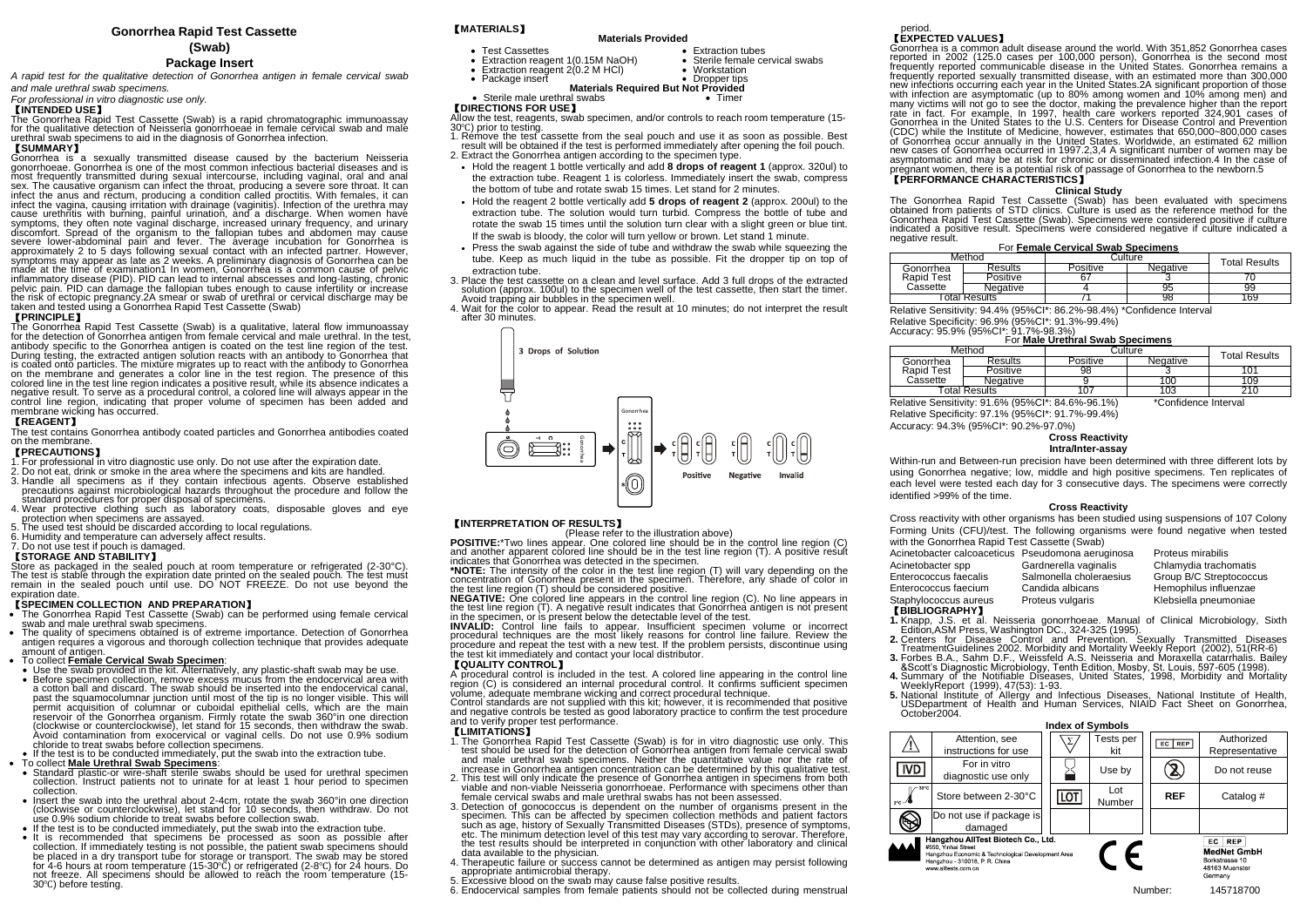# **Gonorrhea Rapid Test Cassette**

### **(Swab)**

### **Package Insert**

*A rapid test for the qualitative detection of Gonorrhea antigen in female cervical swab and male urethral swab specimens.*

*For professional in vitro diagnostic use only.*

# 【**INTENDED USE**】

The Gonorrhea Rapid Test Cassette (Swab) is a rapid chromatographic immunoassay for the qualitative detection of Neisseria gonorrhoeae in female cervical swab and male urethral swab specimens to aid in the diagnosis of Gonorrhea infection.

# 【**SUMMARY**】

Gonorrhea is a sexually transmitted disease caused by the bacterium Neisseria gonorrhoeae. Gonorrhea is one of the most common infectious bacterial diseases and is most frequently transmitted during sexual intercourse, including vaginal, oral and anal sex. The causative organism can infect the throat, producing a severe sore throat. It can infect the anus and rectum, producing a condition called proctitis. With females, it can infect the vagina, causing irritation with drainage (vaginitis). Infection of the urethra may cause urethritis with burning, painful urination, and a discharge. When women have symptoms, they often note vaginal discharge, increased urinary frequency, and urinary discomfort. Spread of the organism to the fallopian tubes and abdomen may cause severe lower-abdominal pain and fever. The average incubation for Gonorrhea is approximately 2 to 5 days following sexual contact with an infected partner. However, symptoms may appear as late as 2 weeks. A preliminary diagnosis of Gonorrhea can be made at the time of examination1 In women, Gonorrhea is a common cause of pelvic inflammatory disease (PID). PID can lead to internal abscesses and long-lasting, chronic pelvic pain. PID can damage the fallopian tubes enough to cause infertility or increase the risk of ectopic pregnancy.2A smear or swab of urethral or cervical discharge may be taken and tested using a Gonorrhea Rapid Test Cassette (Swab)

### 【**PRINCIPLE**】

The Gonorrhea Rapid Test Cassette (Swab) is a qualitative, lateral flow immunoassay for the detection of Gonorrhea antigen from female cervical and male urethral. In the test, antibody specific to the Gonorrhea antigen is coated on the test line region of the test. During testing, the extracted antigen solution reacts with an antibody to Gonorrhea that is coated onto particles. The mixture migrates up to react with the antibody to Gonorrhea on the membrane and generates a color line in the test region. The presence of this colored line in the test line region indicates a positive result, while its absence indicates a negative result. To serve as a procedural control, a colored line will always appear in the control line region, indicating that proper volume of specimen has been added and membrane wicking has occurred.

### 【**REAGENT**】

The test contains Gonorrhea antibody coated particles and Gonorrhea antibodies coated on the membrane.

### 【**PRECAUTIONS**】

- 1. For professional in vitro diagnostic use only. Do not use after the expiration date. 2. Do not eat, drink or smoke in the area where the specimens and kits are handled.
- 3. Handle all specimens as if they contain infectious agents. Observe established precautions against microbiological hazards throughout the procedure and follow the standard procedures for proper disposal of specimens.
- 4. Wear protective clothing such as laboratory coats, disposable gloves and eye protection when specimens are assayed.
- 5. The used test should be discarded according to local regulations.
- 6. Humidity and temperature can adversely affect results.

### 7. Do not use test if pouch is damaged.

### 【**STORAGE AND STABILITY**】

Store as packaged in the sealed pouch at room temperature or refrigerated (2-30°C). The test is stable through the expiration date printed on the sealed pouch. The test must remain in the sealed pouch until use. DO NOT FREEZE. Do not use beyond the expiration date.

- 【**SPECIMEN COLLECTION AND PREPARATION**】 The Gonorrhea Rapid Test Cassette (Swab) can be performed using female cervical swab and male urethral swab specimens.
- The quality of specimens obtained is of extreme importance. Detection of Gonorrhea antigen requires a vigorous and thorough collection technique that provides adequate amount of antigen.

## • To collect **Female Cervical Swab Specimen**:

• Use the swab provided in the kit. Alternatively, any plastic-shaft swab may be use. • Before specimen collection, remove excess mucus from the endocervical area with a cotton ball and discard. The swab should be inserted into the endocervical canal, past the squamocolumnar junction until most of the tip is no longer visible. This will permit acquisition of columnar or cuboidal epithelial cells, which are the main reservoir of the Gonorrhea organism. Firmly rotate the swab 360°in one direction (clockwise or counterclockwise), let stand for 15 seconds, then withdraw the swab. Avoid contamination from exocervical or vaginal cells. Do not use 0.9% sodium chloride to treat swabs before collection specimens.

If the test is to be conducted immediately, put the swab into the extraction tube.

- To collect **Male Urethral Swab Specimens**:
- Standard plastic-or wire-shaft sterile swabs should be used for urethral specimen collection. Instruct patients not to urinate for at least 1 hour period to specimen collection.
- Insert the swab into the urethral about 2-4cm, rotate the swab 360°in one direction (clockwise or counterclockwise), let stand for 10 seconds, then withdraw. Do not use 0.9% sodium chloride to treat swabs before collection swab.
- 
- If the test is to be conducted immediately, put the swab into the extraction tube. It is recommended that specimens be processed as soon as possible after collection. If immediately testing is not possible, the patient swab specimens should be placed in a dry transport tube for storage or transport. The swab may be stored for 4-6 hours at room temperature (15-30°C) or refrigerated (2-8°C) for 24 hours. Do not freeze. All specimens should be allowed to reach the room temperature (15- 30℃) before testing.

# 【**MATERIALS**】

# **Materials Provided**

- Test Cassettes Extraction tubes Extraction reagent 1(0.15M NaOH) Sterile female cervical swabs
- Extraction reagent 2(0.2 M HCl)<br>• Package insert
	-

- Package insert  **Dropper tips Package insert Materials Required But Not Provided**
- Sterile male urethral swabs Timer

### 【**DIRECTIONS FOR USE**】

Allow the test, reagents, swab specimen, and/or controls to reach room temperature (15- 30℃) prior to testing.

- 1. Remove the test cassette from the seal pouch and use it as soon as possible. Best result will be obtained if the test is performed immediately after opening the foil pouch. 2. Extract the Gonorrhea antigen according to the specimen type.
- Hold the reagent 1 bottle vertically and add **8 drops of reagent 1** (approx. 320ul) to the extraction tube. Reagent 1 is colorless. Immediately insert the swab, compress the bottom of tube and rotate swab 15 times. Let stand for 2 minutes.
- Hold the reagent 2 bottle vertically add **5 drops of reagent 2** (approx. 200ul) to the extraction tube. The solution would turn turbid. Compress the bottle of tube and rotate the swab 15 times until the solution turn clear with a slight green or blue tint. If the swab is bloody, the color will turn yellow or brown. Let stand 1 minute.
- Press the swab against the side of tube and withdraw the swab while squeezing the tube. Keep as much liquid in the tube as possible. Fit the dropper tip on top of extraction tube.
- 3. Place the test cassette on a clean and level surface. Add 3 full drops of the extracted solution (approx. 100ul) to the specimen well of the test cassette, then start the timer. Avoid trapping air bubbles in the specimen well.
- 4. Wait for the color to appear. Read the result at 10 minutes; do not interpret the result after 30 minutes.



### 【**INTERPRETATION OF RESULTS**】

POSITIVE:\*Two lines appear. OPlease refer to the illustration above)<br>POSITIVE:\*Two lines appear. One colored line should be in the control line region (C)<br>and another apparent colored line should be in the test line region indicates that Gonorrhea was detected in the specimen.

**\*NOTE:** The intensity of the color in the test line region (T) will vary depending on the concentration of Gonorrhea present in the specimen. Therefore, any shade of color in the test line region (T) should be considered positive.

**NEGATIVE:** One colored line appears in the control line region (C). No line appears in the test line region (T). A negative result indicates that Gonorrhea antigen is not present in the specimen, or is present below the detectable level of the test.

**INVALID:** Control line fails to appear. Insufficient specimen volume or incorrect procedural techniques are the most likely reasons for control line failure. Review the procedure and repeat the test with a new test. If the problem persists, discontinue using the test kit immediately and contact your local distributor.

### 【**QUALITY CONTROL**】

A procedural control is included in the test. A colored line appearing in the control line region (C) is considered an internal procedural control. It confirms sufficient specimen volume, adequate membrane wicking and correct procedural technique.

Control standards are not supplied with this kit; however, it is recommended that positive and negative controls be tested as good laboratory practice to confirm the test procedure and to verify proper test performance.

### 【**LIMITATIONS**】

- 1. The Gonorrhea Rapid Test Cassette (Swab) is for in vitro diagnostic use only. This test should be used for the detection of Gonorrhea antigen from female cervical swab and male urethral swab specimens. Neither the quantitative value nor the rate of increase in Gonorrhea antigen concentration can be determined by this qualitative test.
- 2. This test will only indicate the presence of Gonorrhea antigen in specimens from both viable and non-viable Neisseria gonorrhoeae. Performance with specimens other than female cervical swabs and male urethral swabs has not been assessed.
- 3. Detection of gonococcus is dependent on the number of organisms present in the specimen. This can be affected by specimen collection methods and patient factors such as age, history of Sexually Transmitted Diseases (STDs), presence of symptoms, etc. The minimum detection level of this test may vary according to serovar. Therefore, the test results should be interpreted in conjunction with other laboratory and clinical data available to the physician.
- 4. Therapeutic failure or success cannot be determined as antigen may persist following appropriate antimicrobial therapy.
- appropriate animitational motapy.<br>Excessive blood on the swab may cause false positive results.
- 6. Endocervical samples from female patients should not be collected during menstrual

### period. 【**EXPECTED VALUES**】

Gonorrhea is a common adult disease around the world. With 351,852 Gonorrhea cases reported in 2002 (125.0 cases per 100,000 person), Gonorrhea is the second most frequently reported communicable disease in the United States. Gonorrhea remains a frequently reported sexually transmitted disease, with an estimated more than 300,000 new infections occurring each year in the United States.2A significant proportion of those with infection are asymptomatic (up to 80% among women and 10% among men) and many victims will not go to see the doctor, making the prevalence higher than the report rate in fact. For example, In 1997, health care workers reported 324,901 cases of Gonorrhea in the United States to the U.S. Centers for Disease Control and Prevention (CDC) while the Institute of Medicine, however, estimates that 650,000~800,000 cases of Gonorrhea occur annually in the United States. Worldwide, an estimated 62 million new cases of Gonorrhea occurred in 1997.2,3,4 A significant number of women may be asymptomatic and may be at risk for chronic or disseminated infection.4 In the case of pregnant women, there is a potential risk of passage of Gonorrhea to the newborn.5

### 【**PERFORMANCE CHARACTERISTICS**】 **Clinical Study**

The Gonorrhea Rapid Test Cassette (Swab) has been evaluated with specimens obtained from patients of STD clinics. Culture is used as the reference method for the Gonorrhea Rapid Test Cassette (Swab). Specimens were considered positive if culture indicated a positive result. Specimens were considered negative if culture indicated a negative result.

#### For **Female Cervical Swab Specimens**

| Method                 |          | Culture  |          | Total Results |
|------------------------|----------|----------|----------|---------------|
| Gonorrhea              | Results  | Positive | Negative |               |
| Rapid Test<br>Cassette | Positive | 67       |          |               |
|                        | Negative |          | 95       | 99            |
| Total Results          |          |          | 98       | 169           |

Relative Sensitivity: 94.4% (95%CI\*: 86.2%-98.4%) \*Confidence Interval

Relative Specificity: 96.9% (95%CI\*: 91.3%-99.4%)

### Accuracy: 95.9% (95%CI\*: 91.7%-98.3%)

| For Male Urethral Swab Specimens                               |          |          |          |                      |  |  |
|----------------------------------------------------------------|----------|----------|----------|----------------------|--|--|
| Method                                                         |          | Culture  |          | <b>Total Results</b> |  |  |
| Gonorrhea<br>Rapid Test<br>Cassette                            | Results  | Positive | Negative |                      |  |  |
|                                                                | Positive | 98       |          | 101                  |  |  |
|                                                                | Negative |          | 100      | 109                  |  |  |
| Total Results                                                  |          |          | 103      |                      |  |  |
| $\cdots$<br>_ _ _<br>$\sim$<br>$\overline{\phantom{a}}$<br>. . |          |          |          |                      |  |  |

Relative Sensitivity: 91.6% (95%CI\*: 84.6%-96.1%) \*Confidence Interval Relative Specificity: 97.1% (95%CI\*: 91.7%-99.4%) Accuracy: 94.3% (95%CI\*: 90.2%-97.0%)

## **Cross Reactivity Intra/Inter-assay**

Within-run and Between-run precision have been determined with three different lots by using Gonorrhea negative; low, middle and high positive specimens. Ten replicates of each level were tested each day for 3 consecutive days. The specimens were correctly identified >99% of the time.

### **Cross Reactivity**

Cross reactivity with other organisms has been studied using suspensions of 107 Colony Forming Units (CFU)/test. The following organisms were found negative when tested with the Gonorrhea Rapid Test Cassette (Swab)

| Acinetobacter calcoaceticus Pseudomona aeruginosa |                         | Proteus mirabilis       |
|---------------------------------------------------|-------------------------|-------------------------|
| Acinetobacter spp                                 | Gardnerella vaginalis   | Chlamydia trachomatis   |
| Enterococcus faecalis                             | Salmonella choleraesius | Group B/C Streptococcus |
| Enterococcus faecium                              | Candida albicans        | Hemophilus influenzae   |
| Staphylococcus aureus                             | Proteus vulgaris        | Klebsiella pneumoniae   |
|                                                   |                         |                         |

#### 【**BIBLIOGRAPHY**】

- **1.** Knapp, J.S. et al. Neisseria gonorrhoeae. Manual of Clinical Microbiology, Sixth Edition,ASM Press, Washington DC., 324-325 (1995). **2.** Centers for Disease Control and Prevention. Sexually Transmitted Diseases
- TreatmentGuidelines 2002. Morbidity and Mortality Weekly Report (2002), 51(RR-6)
- **3.** Forbes B.A., Sahm D.F., Weissfeld A.S. Neisseria and Moraxella catarrhalis. Bailey
- &Scott's Diagnostic Microbiology, Tenth Edition, Mosby, St. Louis, 597-605 (1998). **4.** Summary of the Notifiable Diseases, United States, 1998, Morbidity and Mortality
- WeeklyReport (1999), 47(53): 1-93. **5.** National Institute of Allergy and Infectious Diseases, National Institute of Health,
- USDepartment of Health and Human Services, NIAID Fact Sheet on Gonorrhea, October2004.